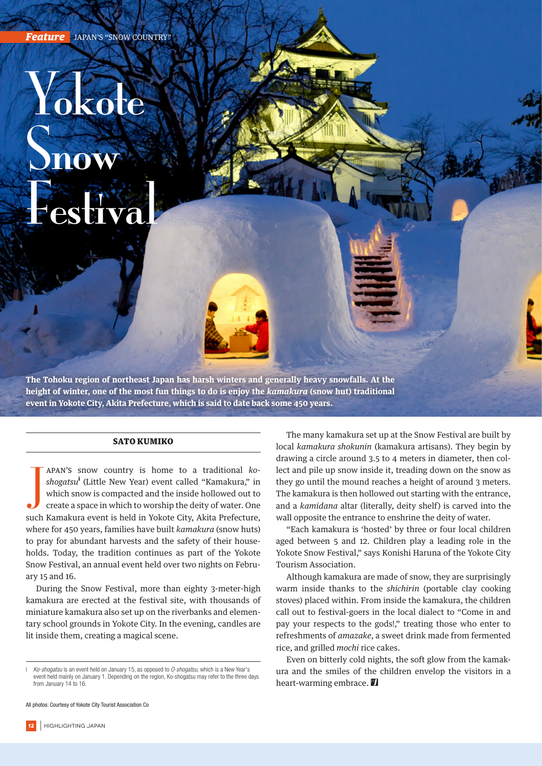## Yokote Sno Festival

**The Tohoku region of northeast Japan has harsh winters and generally heavy snowfalls. At the height of winter, one of the most fun things to do is enjoy the** *kamakura* **(snow hut) traditional event in Yokote City, Akita Prefecture, which is said to date back some 450 years.**

## SATO KUMIKO

APAN'S snow country is home to a traditional *koshogatsu*<sup>i</sup> (Little New Year) event called "Kamakura," in which snow is compacted and the inside hollowed out to create a space in which to worship the deity of water. One apan's snow country is home to a traditional *koshogatsu*<sup>i</sup> (Little New Year) event called "Kamakura," in which snow is compacted and the inside hollowed out to create a space in which to worship the deity of water. One where for 450 years, families have built *kamakura* (snow huts) to pray for abundant harvests and the safety of their households. Today, the tradition continues as part of the Yokote Snow Festival, an annual event held over two nights on February 15 and 16.

During the Snow Festival, more than eighty 3-meter-high kamakura are erected at the festival site, with thousands of miniature kamakura also set up on the riverbanks and elementary school grounds in Yokote City. In the evening, candles are lit inside them, creating a magical scene.

i *Ko-shogatsu* is an event held on January 15, as opposed to *O-shogatsu*, which is a New Year's event held mainly on January 1. Depending on the region, Ko-shogatsu may refer to the three days from January 14 to 16.

All photos: Courtesy of Yokote City Tourist Association Co

The many kamakura set up at the Snow Festival are built by local *kamakura shokunin* (kamakura artisans). They begin by drawing a circle around 3.5 to 4 meters in diameter, then collect and pile up snow inside it, treading down on the snow as they go until the mound reaches a height of around 3 meters. The kamakura is then hollowed out starting with the entrance, and a *kamidana* altar (literally, deity shelf) is carved into the wall opposite the entrance to enshrine the deity of water.

"Each kamakura is 'hosted' by three or four local children aged between 5 and 12. Children play a leading role in the Yokote Snow Festival," says Konishi Haruna of the Yokote City Tourism Association.

Although kamakura are made of snow, they are surprisingly warm inside thanks to the *shichirin* (portable clay cooking stoves) placed within. From inside the kamakura, the children call out to festival-goers in the local dialect to "Come in and pay your respects to the gods!," treating those who enter to refreshments of *amazake*, a sweet drink made from fermented rice, and grilled *mochi* rice cakes.

Even on bitterly cold nights, the soft glow from the kamakura and the smiles of the children envelop the visitors in a heart-warming embrace.